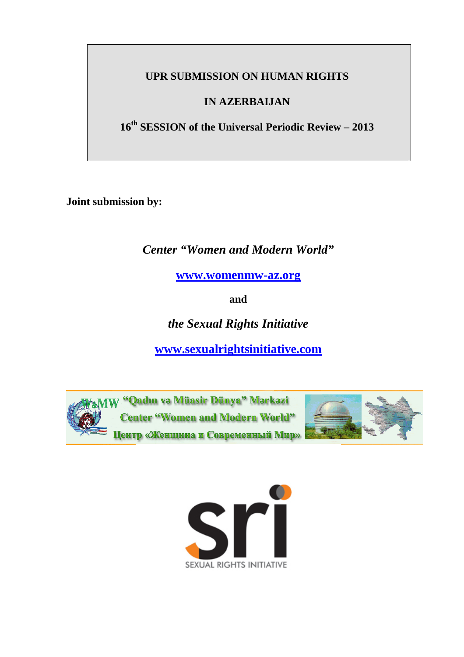## **UPR SUBMISSION ON HUMAN RIGHTS**

## **IN AZERBAIJAN**

**16th SESSION of the Universal Periodic Review – 2013** 

**Joint submission by:** 

*Center "Women and Modern World"* 

**www.womenmw-az.org**

**and** 

*the Sexual Rights Initiative* 

**www.sexualrightsinitiative.com** 



W "Qadın və Müasir Dünya" Mərkəzi **Center "Women and Modern World"** Центр «Женщина и Современный Мир»



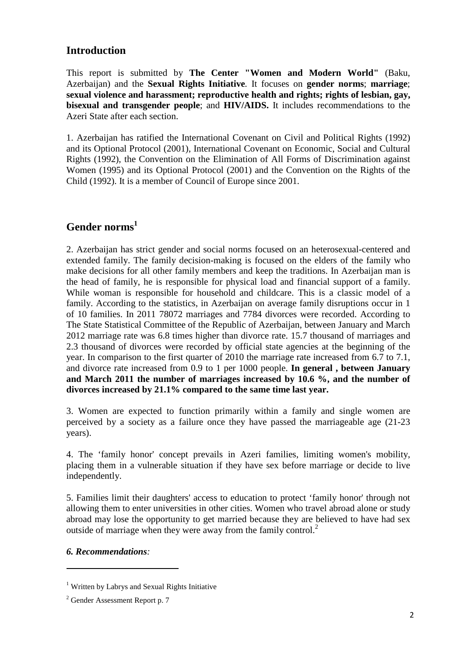## **Introduction**

This report is submitted by **The Center "Women and Modern World"** (Baku, Azerbaijan) and the **Sexual Rights Initiative***.* It focuses on **gender norms**; **marriage**; **sexual violence and harassment; reproductive health and rights; rights of lesbian, gay, bisexual and transgender people**; and **HIV/AIDS.** It includes recommendations to the Azeri State after each section.

1. Azerbaijan has ratified the International Covenant on Civil and Political Rights (1992) and its Optional Protocol (2001), International Covenant on Economic, Social and Cultural Rights (1992), the Convention on the Elimination of All Forms of Discrimination against Women (1995) and its Optional Protocol (2001) and the Convention on the Rights of the Child (1992). It is a member of Council of Europe since 2001.

## **Gender norms<sup>1</sup>**

2. Azerbaijan has strict gender and social norms focused on an heterosexual-centered and extended family. The family decision-making is focused on the elders of the family who make decisions for all other family members and keep the traditions. In Azerbaijan man is the head of family, he is responsible for physical load and financial support of a family. While woman is responsible for household and childcare. This is a classic model of a family. According to the statistics, in Azerbaijan on average family disruptions occur in 1 of 10 families. In 2011 78072 marriages and 7784 divorces were recorded. According to The State Statistical Committee of the Republic of Azerbaijan, between January and March 2012 marriage rate was 6.8 times higher than divorce rate. 15.7 thousand of marriages and 2.3 thousand of divorces were recorded by official state agencies at the beginning of the year. In comparison to the first quarter of 2010 the marriage rate increased from 6.7 to 7.1, and divorce rate increased from 0.9 to 1 per 1000 people. **In general , between January and March 2011 the number of marriages increased by 10.6 %, and the number of divorces increased by 21.1% compared to the same time last year.** 

3. Women are expected to function primarily within a family and single women are perceived by a society as a failure once they have passed the marriageable age (21-23 years).

4. The 'family honor' concept prevails in Azeri families, limiting women's mobility, placing them in a vulnerable situation if they have sex before marriage or decide to live independently.

5. Families limit their daughters' access to education to protect 'family honor' through not allowing them to enter universities in other cities. Women who travel abroad alone or study abroad may lose the opportunity to get married because they are believed to have had sex outside of marriage when they were away from the family control.<sup>2</sup>

### *6. Recommendations:*

l

<sup>&</sup>lt;sup>1</sup> Written by Labrys and Sexual Rights Initiative

<sup>&</sup>lt;sup>2</sup> Gender Assessment Report p. 7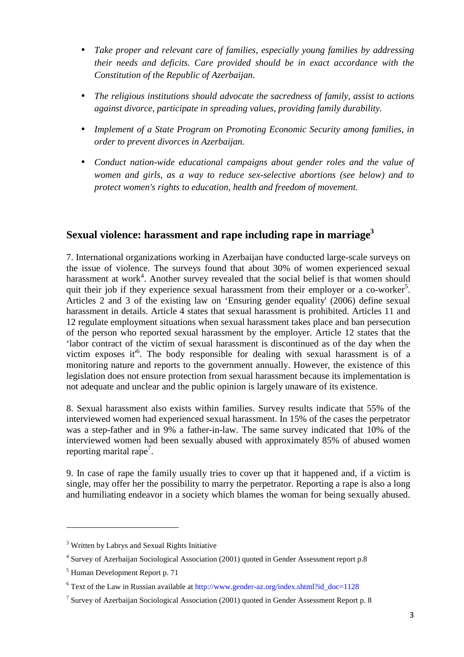- *Take proper and relevant care of families, especially young families by addressing their needs and deficits. Care provided should be in exact accordance with the Constitution of the Republic of Azerbaijan.*
- *The religious institutions should advocate the sacredness of family, assist to actions against divorce, participate in spreading values, providing family durability.*
- *Implement of a State Program on Promoting Economic Security among families, in order to prevent divorces in Azerbaijan.*
- *Conduct nation-wide educational campaigns about gender roles and the value of women and girls, as a way to reduce sex-selective abortions (see below) and to protect women's rights to education, health and freedom of movement.*

## **Sexual violence: harassment and rape including rape in marriage<sup>3</sup>**

7. International organizations working in Azerbaijan have conducted large-scale surveys on the issue of violence. The surveys found that about 30% of women experienced sexual harassment at work<sup>4</sup>. Another survey revealed that the social belief is that women should quit their job if they experience sexual harassment from their employer or a co-worker<sup>5</sup>. Articles 2 and 3 of the existing law on 'Ensuring gender equality' (2006) define sexual harassment in details. Article 4 states that sexual harassment is prohibited. Articles 11 and 12 regulate employment situations when sexual harassment takes place and ban persecution of the person who reported sexual harassment by the employer. Article 12 states that the 'labor contract of the victim of sexual harassment is discontinued as of the day when the victim exposes it<sup>6</sup>. The body responsible for dealing with sexual harassment is of a monitoring nature and reports to the government annually. However, the existence of this legislation does not ensure protection from sexual harassment because its implementation is not adequate and unclear and the public opinion is largely unaware of its existence.

8. Sexual harassment also exists within families. Survey results indicate that 55% of the interviewed women had experienced sexual harassment. In 15% of the cases the perpetrator was a step-father and in 9% a father-in-law. The same survey indicated that 10% of the interviewed women had been sexually abused with approximately 85% of abused women reporting marital rape<sup>7</sup>.

9. In case of rape the family usually tries to cover up that it happened and, if a victim is single, may offer her the possibility to marry the perpetrator. Reporting a rape is also a long and humiliating endeavor in a society which blames the woman for being sexually abused.

<sup>&</sup>lt;sup>3</sup> Written by Labrys and Sexual Rights Initiative

<sup>&</sup>lt;sup>4</sup> Survey of Azerbaijan Sociological Association (2001) quoted in Gender Assessment report p.8

<sup>5</sup> Human Development Report p. 71

<sup>&</sup>lt;sup>6</sup> Text of the Law in Russian available at http://www.gender-az.org/index.shtml?id\_doc=1128

<sup>&</sup>lt;sup>7</sup> Survey of Azerbaijan Sociological Association (2001) quoted in Gender Assessment Report p. 8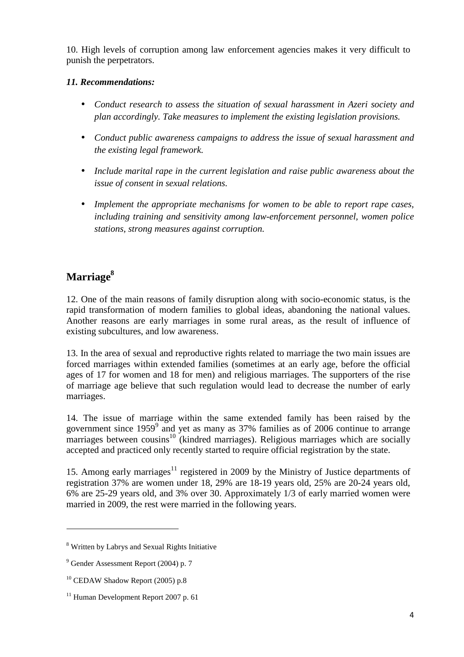10. High levels of corruption among law enforcement agencies makes it very difficult to punish the perpetrators.

### *11. Recommendations:*

- *Conduct research to assess the situation of sexual harassment in Azeri society and plan accordingly. Take measures to implement the existing legislation provisions.*
- *Conduct public awareness campaigns to address the issue of sexual harassment and the existing legal framework.*
- *Include marital rape in the current legislation and raise public awareness about the issue of consent in sexual relations.*
- *Implement the appropriate mechanisms for women to be able to report rape cases, including training and sensitivity among law-enforcement personnel, women police stations, strong measures against corruption.*

# **Marriage<sup>8</sup>**

12. One of the main reasons of family disruption along with socio-economic status, is the rapid transformation of modern families to global ideas, abandoning the national values. Another reasons are early marriages in some rural areas, as the result of influence of existing subcultures, and low awareness.

13. In the area of sexual and reproductive rights related to marriage the two main issues are forced marriages within extended families (sometimes at an early age, before the official ages of 17 for women and 18 for men) and religious marriages. The supporters of the rise of marriage age believe that such regulation would lead to decrease the number of early marriages.

14. The issue of marriage within the same extended family has been raised by the government since 1959<sup>9</sup> and yet as many as 37% families as of 2006 continue to arrange marriages between cousins<sup>10</sup> (kindred marriages). Religious marriages which are socially accepted and practiced only recently started to require official registration by the state.

15. Among early marriages<sup>11</sup> registered in 2009 by the Ministry of Justice departments of registration 37% are women under 18, 29% are 18-19 years old, 25% are 20-24 years old, 6% are 25-29 years old, and 3% over 30. Approximately 1/3 of early married women were married in 2009, the rest were married in the following years.

l

<sup>&</sup>lt;sup>8</sup> Written by Labrys and Sexual Rights Initiative

<sup>&</sup>lt;sup>9</sup> Gender Assessment Report (2004) p. 7

 $10$  CEDAW Shadow Report (2005) p.8

 $11$  Human Development Report 2007 p. 61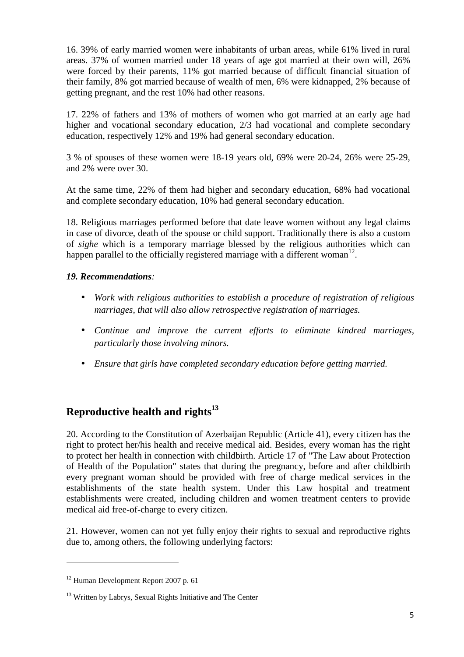16. 39% of early married women were inhabitants of urban areas, while 61% lived in rural areas. 37% of women married under 18 years of age got married at their own will, 26% were forced by their parents, 11% got married because of difficult financial situation of their family, 8% got married because of wealth of men, 6% were kidnapped, 2% because of getting pregnant, and the rest 10% had other reasons.

17. 22% of fathers and 13% of mothers of women who got married at an early age had higher and vocational secondary education, 2/3 had vocational and complete secondary education, respectively 12% and 19% had general secondary education.

3 % of spouses of these women were 18-19 years old, 69% were 20-24, 26% were 25-29, and 2% were over 30.

At the same time, 22% of them had higher and secondary education, 68% had vocational and complete secondary education, 10% had general secondary education.

18. Religious marriages performed before that date leave women without any legal claims in case of divorce, death of the spouse or child support. Traditionally there is also a custom of *sighe* which is a temporary marriage blessed by the religious authorities which can happen parallel to the officially registered marriage with a different woman<sup>12</sup>.

### *19. Recommendations:*

- *Work with religious authorities to establish a procedure of registration of religious marriages, that will also allow retrospective registration of marriages.*
- *Continue and improve the current efforts to eliminate kindred marriages, particularly those involving minors.*
- *Ensure that girls have completed secondary education before getting married.*

## **Reproductive health and rights<sup>13</sup>**

20. According to the Constitution of Azerbaijan Republic (Article 41), every citizen has the right to protect her/his health and receive medical aid. Besides, every woman has the right to protect her health in connection with childbirth. Article 17 of "The Law about Protection of Health of the Population" states that during the pregnancy, before and after childbirth every pregnant woman should be provided with free of charge medical services in the establishments of the state health system. Under this Law hospital and treatment establishments were created, including children and women treatment centers to provide medical aid free-of-charge to every citizen.

21. However, women can not yet fully enjoy their rights to sexual and reproductive rights due to, among others, the following underlying factors:

<sup>12</sup> Human Development Report 2007 p. 61

<sup>&</sup>lt;sup>13</sup> Written by Labrys, Sexual Rights Initiative and The Center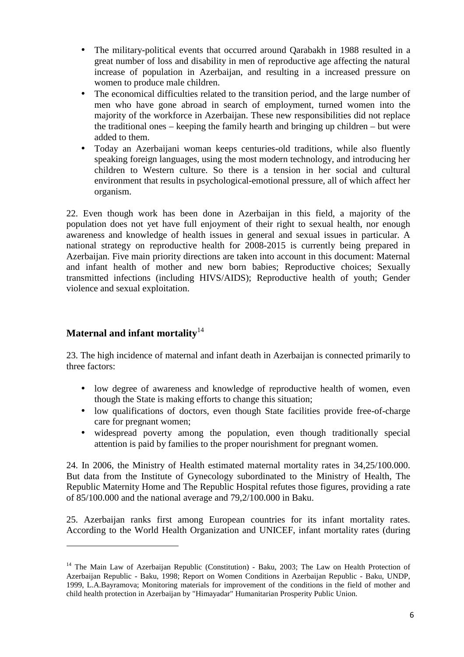- The military-political events that occurred around Oarabakh in 1988 resulted in a great number of loss and disability in men of reproductive age affecting the natural increase of population in Azerbaijan, and resulting in a increased pressure on women to produce male children.
- The economical difficulties related to the transition period, and the large number of men who have gone abroad in search of employment, turned women into the majority of the workforce in Azerbaijan. These new responsibilities did not replace the traditional ones – keeping the family hearth and bringing up children – but were added to them.
- Today an Azerbaijani woman keeps centuries-old traditions, while also fluently speaking foreign languages, using the most modern technology, and introducing her children to Western culture. So there is a tension in her social and cultural environment that results in psychological-emotional pressure, all of which affect her organism.

22. Even though work has been done in Azerbaijan in this field, a majority of the population does not yet have full enjoyment of their right to sexual health, nor enough awareness and knowledge of health issues in general and sexual issues in particular. A national strategy on reproductive health for 2008-2015 is currently being prepared in Azerbaijan. Five main priority directions are taken into account in this document: Maternal and infant health of mother and new born babies; Reproductive choices; Sexually transmitted infections (including HIVS/AIDS); Reproductive health of youth; Gender violence and sexual exploitation.

## **Maternal and infant mortality**<sup>14</sup>

l

23. The high incidence of maternal and infant death in Azerbaijan is connected primarily to three factors:

- low degree of awareness and knowledge of reproductive health of women, even though the State is making efforts to change this situation;
- low qualifications of doctors, even though State facilities provide free-of-charge care for pregnant women;
- widespread poverty among the population, even though traditionally special attention is paid by families to the proper nourishment for pregnant women.

24. In 2006, the Ministry of Health estimated maternal mortality rates in 34,25/100.000. But data from the Institute of Gynecology subordinated to the Ministry of Health, The Republic Maternity Home and The Republic Hospital refutes those figures, providing a rate of 85/100.000 and the national average and 79,2/100.000 in Baku.

25. Azerbaijan ranks first among European countries for its infant mortality rates. According to the World Health Organization and UNICEF, infant mortality rates (during

<sup>&</sup>lt;sup>14</sup> The Main Law of Azerbaijan Republic (Constitution) - Baku, 2003; The Law on Health Protection of Azerbaijan Republic - Baku, 1998; Report on Women Conditions in Azerbaijan Republic - Baku, UNDP, 1999, L.A.Bayramova; Monitoring materials for improvement of the conditions in the field of mother and child health protection in Azerbaijan by "Himayadar" Humanitarian Prosperity Public Union.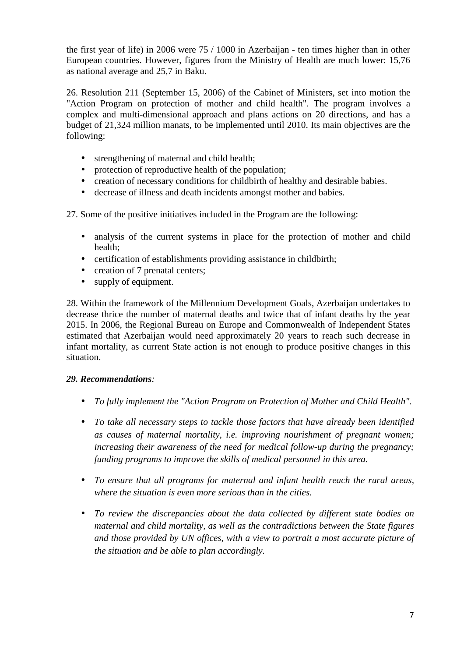the first year of life) in 2006 were 75 / 1000 in Azerbaijan - ten times higher than in other European countries. However, figures from the Ministry of Health are much lower: 15,76 as national average and 25,7 in Baku.

26. Resolution 211 (September 15, 2006) of the Cabinet of Ministers, set into motion the "Action Program on protection of mother and child health". The program involves a complex and multi-dimensional approach and plans actions on 20 directions, and has a budget of 21,324 million manats, to be implemented until 2010. Its main objectives are the following:

- strengthening of maternal and child health;
- protection of reproductive health of the population;
- creation of necessary conditions for childbirth of healthy and desirable babies.
- decrease of illness and death incidents amongst mother and babies.

27. Some of the positive initiatives included in the Program are the following:

- analysis of the current systems in place for the protection of mother and child health;
- certification of establishments providing assistance in childbirth;
- creation of 7 prenatal centers;
- supply of equipment.

28. Within the framework of the Millennium Development Goals, Azerbaijan undertakes to decrease thrice the number of maternal deaths and twice that of infant deaths by the year 2015. In 2006, the Regional Bureau on Europe and Commonwealth of Independent States estimated that Azerbaijan would need approximately 20 years to reach such decrease in infant mortality, as current State action is not enough to produce positive changes in this situation.

### *29. Recommendations:*

- *To fully implement the "Action Program on Protection of Mother and Child Health".*
- *To take all necessary steps to tackle those factors that have already been identified as causes of maternal mortality, i.e. improving nourishment of pregnant women; increasing their awareness of the need for medical follow-up during the pregnancy; funding programs to improve the skills of medical personnel in this area.*
- *To ensure that all programs for maternal and infant health reach the rural areas, where the situation is even more serious than in the cities.*
- *To review the discrepancies about the data collected by different state bodies on maternal and child mortality, as well as the contradictions between the State figures and those provided by UN offices, with a view to portrait a most accurate picture of the situation and be able to plan accordingly.*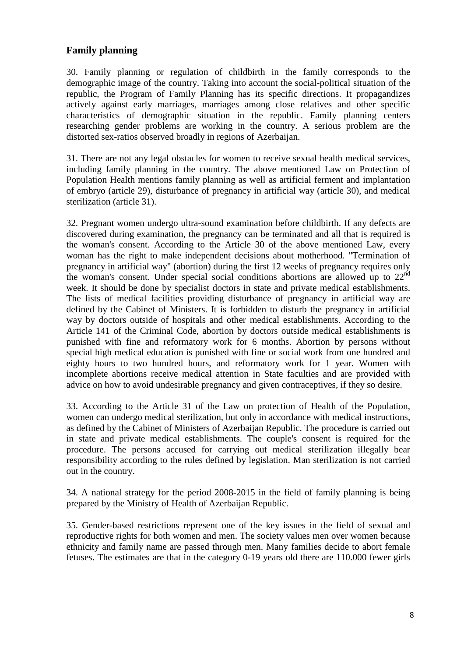### **Family planning**

30. Family planning or regulation of childbirth in the family corresponds to the demographic image of the country. Taking into account the social-political situation of the republic, the Program of Family Planning has its specific directions. It propagandizes actively against early marriages, marriages among close relatives and other specific characteristics of demographic situation in the republic. Family planning centers researching gender problems are working in the country. A serious problem are the distorted sex-ratios observed broadly in regions of Azerbaijan.

31. There are not any legal obstacles for women to receive sexual health medical services, including family planning in the country. The above mentioned Law on Protection of Population Health mentions family planning as well as artificial ferment and implantation of embryo (article 29), disturbance of pregnancy in artificial way (article 30), and medical sterilization (article 31).

32. Pregnant women undergo ultra-sound examination before childbirth. If any defects are discovered during examination, the pregnancy can be terminated and all that is required is the woman's consent. According to the Article 30 of the above mentioned Law, every woman has the right to make independent decisions about motherhood. "Termination of pregnancy in artificial way" (abortion) during the first 12 weeks of pregnancy requires only the woman's consent. Under special social conditions abortions are allowed up to  $22<sup>nd</sup>$ week. It should be done by specialist doctors in state and private medical establishments. The lists of medical facilities providing disturbance of pregnancy in artificial way are defined by the Cabinet of Ministers. It is forbidden to disturb the pregnancy in artificial way by doctors outside of hospitals and other medical establishments. According to the Article 141 of the Criminal Code, abortion by doctors outside medical establishments is punished with fine and reformatory work for 6 months. Abortion by persons without special high medical education is punished with fine or social work from one hundred and eighty hours to two hundred hours, and reformatory work for 1 year. Women with incomplete abortions receive medical attention in State faculties and are provided with advice on how to avoid undesirable pregnancy and given contraceptives, if they so desire.

33. According to the Article 31 of the Law on protection of Health of the Population, women can undergo medical sterilization, but only in accordance with medical instructions, as defined by the Cabinet of Ministers of Azerbaijan Republic. The procedure is carried out in state and private medical establishments. The couple's consent is required for the procedure. The persons accused for carrying out medical sterilization illegally bear responsibility according to the rules defined by legislation. Man sterilization is not carried out in the country.

34. A national strategy for the period 2008-2015 in the field of family planning is being prepared by the Ministry of Health of Azerbaijan Republic.

35. Gender-based restrictions represent one of the key issues in the field of sexual and reproductive rights for both women and men. The society values men over women because ethnicity and family name are passed through men. Many families decide to abort female fetuses. The estimates are that in the category 0-19 years old there are 110.000 fewer girls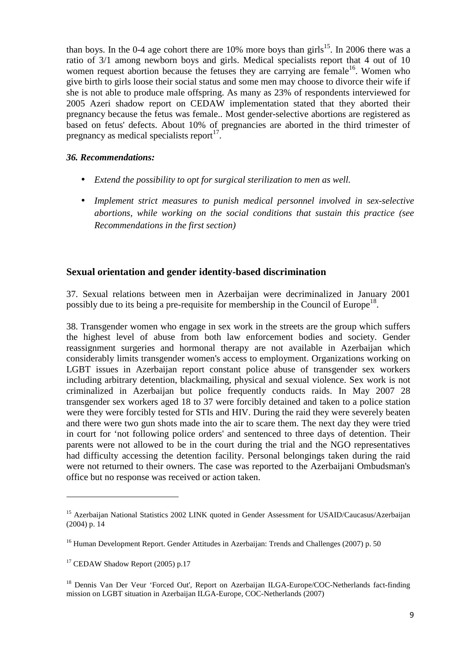than boys. In the 0-4 age cohort there are 10% more boys than girls<sup>15</sup>. In 2006 there was a ratio of 3/1 among newborn boys and girls. Medical specialists report that 4 out of 10 women request abortion because the fetuses they are carrying are female<sup>16</sup>. Women who give birth to girls loose their social status and some men may choose to divorce their wife if she is not able to produce male offspring. As many as 23% of respondents interviewed for 2005 Azeri shadow report on CEDAW implementation stated that they aborted their pregnancy because the fetus was female.. Most gender-selective abortions are registered as based on fetus' defects. About 10% of pregnancies are aborted in the third trimester of pregnancy as medical specialists report<sup>17</sup>.

#### *36. Recommendations:*

- *Extend the possibility to opt for surgical sterilization to men as well.*
- *Implement strict measures to punish medical personnel involved in sex-selective abortions, while working on the social conditions that sustain this practice (see Recommendations in the first section)*

### **Sexual orientation and gender identity-based discrimination**

37. Sexual relations between men in Azerbaijan were decriminalized in January 2001 possibly due to its being a pre-requisite for membership in the Council of Europe<sup>18</sup>.

38. Transgender women who engage in sex work in the streets are the group which suffers the highest level of abuse from both law enforcement bodies and society. Gender reassignment surgeries and hormonal therapy are not available in Azerbaijan which considerably limits transgender women's access to employment. Organizations working on LGBT issues in Azerbaijan report constant police abuse of transgender sex workers including arbitrary detention, blackmailing, physical and sexual violence. Sex work is not criminalized in Azerbaijan but police frequently conducts raids. In May 2007 28 transgender sex workers aged 18 to 37 were forcibly detained and taken to a police station were they were forcibly tested for STIs and HIV. During the raid they were severely beaten and there were two gun shots made into the air to scare them. The next day they were tried in court for 'not following police orders' and sentenced to three days of detention. Their parents were not allowed to be in the court during the trial and the NGO representatives had difficulty accessing the detention facility. Personal belongings taken during the raid were not returned to their owners. The case was reported to the Azerbaijani Ombudsman's office but no response was received or action taken.

<sup>&</sup>lt;sup>15</sup> Azerbaijan National Statistics 2002 LINK quoted in Gender Assessment for USAID/Caucasus/Azerbaijan (2004) p. 14

<sup>&</sup>lt;sup>16</sup> Human Development Report. Gender Attitudes in Azerbaijan: Trends and Challenges (2007) p. 50

 $17$  CEDAW Shadow Report (2005) p.17

<sup>&</sup>lt;sup>18</sup> Dennis Van Der Veur 'Forced Out', Report on Azerbaijan ILGA-Europe/COC-Netherlands fact-finding mission on LGBT situation in Azerbaijan ILGA-Europe, COC-Netherlands (2007)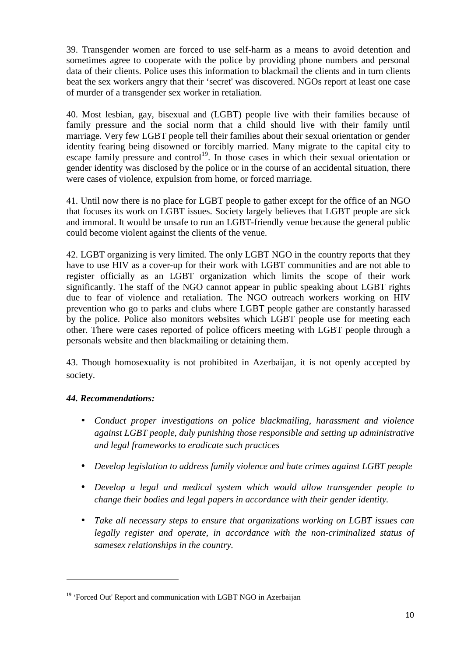39. Transgender women are forced to use self-harm as a means to avoid detention and sometimes agree to cooperate with the police by providing phone numbers and personal data of their clients. Police uses this information to blackmail the clients and in turn clients beat the sex workers angry that their 'secret' was discovered. NGOs report at least one case of murder of a transgender sex worker in retaliation.

40. Most lesbian, gay, bisexual and (LGBT) people live with their families because of family pressure and the social norm that a child should live with their family until marriage. Very few LGBT people tell their families about their sexual orientation or gender identity fearing being disowned or forcibly married. Many migrate to the capital city to escape family pressure and control<sup>19</sup>. In those cases in which their sexual orientation or gender identity was disclosed by the police or in the course of an accidental situation, there were cases of violence, expulsion from home, or forced marriage.

41. Until now there is no place for LGBT people to gather except for the office of an NGO that focuses its work on LGBT issues. Society largely believes that LGBT people are sick and immoral. It would be unsafe to run an LGBT-friendly venue because the general public could become violent against the clients of the venue.

42. LGBT organizing is very limited. The only LGBT NGO in the country reports that they have to use HIV as a cover-up for their work with LGBT communities and are not able to register officially as an LGBT organization which limits the scope of their work significantly. The staff of the NGO cannot appear in public speaking about LGBT rights due to fear of violence and retaliation. The NGO outreach workers working on HIV prevention who go to parks and clubs where LGBT people gather are constantly harassed by the police. Police also monitors websites which LGBT people use for meeting each other. There were cases reported of police officers meeting with LGBT people through a personals website and then blackmailing or detaining them.

43. Though homosexuality is not prohibited in Azerbaijan, it is not openly accepted by society.

### *44. Recommendations:*

- *Conduct proper investigations on police blackmailing, harassment and violence against LGBT people, duly punishing those responsible and setting up administrative and legal frameworks to eradicate such practices*
- *Develop legislation to address family violence and hate crimes against LGBT people*
- *Develop a legal and medical system which would allow transgender people to change their bodies and legal papers in accordance with their gender identity.*
- *Take all necessary steps to ensure that organizations working on LGBT issues can legally register and operate, in accordance with the non-criminalized status of samesex relationships in the country.*

<sup>&</sup>lt;sup>19</sup> 'Forced Out' Report and communication with LGBT NGO in Azerbaijan